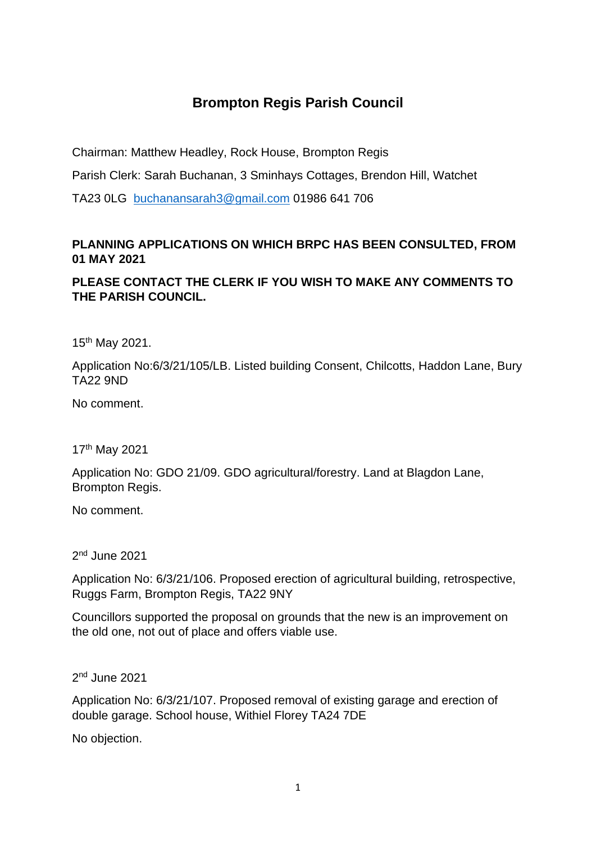# **Brompton Regis Parish Council**

Chairman: Matthew Headley, Rock House, Brompton Regis

Parish Clerk: Sarah Buchanan, 3 Sminhays Cottages, Brendon Hill, Watchet

TA23 0LG [buchanansarah3@gmail.com](mailto:buchanansarah3@gmail.com) 01986 641 706

## **PLANNING APPLICATIONS ON WHICH BRPC HAS BEEN CONSULTED, FROM 01 MAY 2021**

## **PLEASE CONTACT THE CLERK IF YOU WISH TO MAKE ANY COMMENTS TO THE PARISH COUNCIL.**

15th May 2021.

Application No:6/3/21/105/LB. Listed building Consent, Chilcotts, Haddon Lane, Bury TA22 9ND

No comment.

17th May 2021

Application No: GDO 21/09. GDO agricultural/forestry. Land at Blagdon Lane, Brompton Regis.

No comment.

2<sup>nd</sup> June 2021

Application No: 6/3/21/106. Proposed erection of agricultural building, retrospective, Ruggs Farm, Brompton Regis, TA22 9NY

Councillors supported the proposal on grounds that the new is an improvement on the old one, not out of place and offers viable use.

2<sup>nd</sup> June 2021

Application No: 6/3/21/107. Proposed removal of existing garage and erection of double garage. School house, Withiel Florey TA24 7DE

No objection.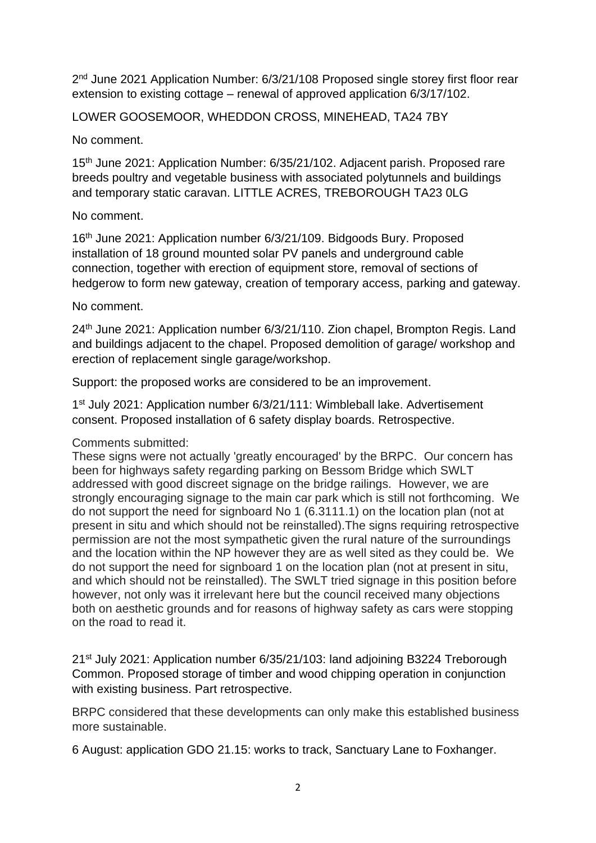2<sup>nd</sup> June 2021 Application Number: 6/3/21/108 Proposed single storey first floor rear extension to existing cottage – renewal of approved application 6/3/17/102.

LOWER GOOSEMOOR, WHEDDON CROSS, MINEHEAD, TA24 7BY

#### No comment.

15th June 2021: Application Number: 6/35/21/102. Adjacent parish. Proposed rare breeds poultry and vegetable business with associated polytunnels and buildings and temporary static caravan. LITTLE ACRES, TREBOROUGH TA23 0LG

#### No comment.

16th June 2021: Application number 6/3/21/109. Bidgoods Bury. Proposed installation of 18 ground mounted solar PV panels and underground cable connection, together with erection of equipment store, removal of sections of hedgerow to form new gateway, creation of temporary access, parking and gateway.

#### No comment.

24th June 2021: Application number 6/3/21/110. Zion chapel, Brompton Regis. Land and buildings adjacent to the chapel. Proposed demolition of garage/ workshop and erection of replacement single garage/workshop.

Support: the proposed works are considered to be an improvement.

1 st July 2021: Application number 6/3/21/111: Wimbleball lake. Advertisement consent. Proposed installation of 6 safety display boards. Retrospective.

### Comments submitted:

These signs were not actually 'greatly encouraged' by the BRPC. Our concern has been for highways safety regarding parking on Bessom Bridge which SWLT addressed with good discreet signage on the bridge railings. However, we are strongly encouraging signage to the main car park which is still not forthcoming. We do not support the need for signboard No 1 (6.3111.1) on the location plan (not at present in situ and which should not be reinstalled).The signs requiring retrospective permission are not the most sympathetic given the rural nature of the surroundings and the location within the NP however they are as well sited as they could be. We do not support the need for signboard 1 on the location plan (not at present in situ, and which should not be reinstalled). The SWLT tried signage in this position before however, not only was it irrelevant here but the council received many objections both on aesthetic grounds and for reasons of highway safety as cars were stopping on the road to read it.

21st July 2021: Application number 6/35/21/103: land adjoining B3224 Treborough Common. Proposed storage of timber and wood chipping operation in conjunction with existing business. Part retrospective.

BRPC considered that these developments can only make this established business more sustainable.

6 August: application GDO 21.15: works to track, Sanctuary Lane to Foxhanger.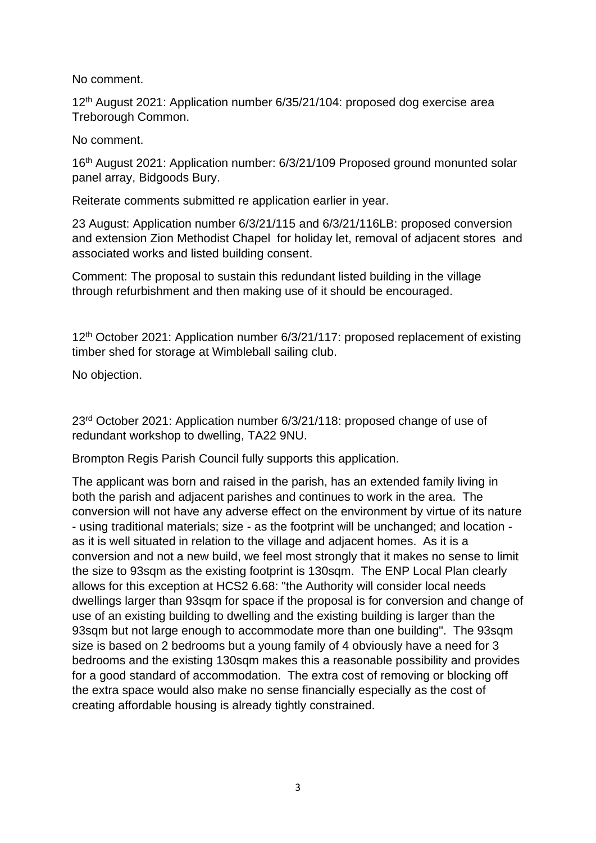No comment.

12th August 2021: Application number 6/35/21/104: proposed dog exercise area Treborough Common.

No comment.

16th August 2021: Application number: 6/3/21/109 Proposed ground monunted solar panel array, Bidgoods Bury.

Reiterate comments submitted re application earlier in year.

23 August: Application number 6/3/21/115 and 6/3/21/116LB: proposed conversion and extension Zion Methodist Chapel for holiday let, removal of adjacent stores and associated works and listed building consent.

Comment: The proposal to sustain this redundant listed building in the village through refurbishment and then making use of it should be encouraged.

12th October 2021: Application number 6/3/21/117: proposed replacement of existing timber shed for storage at Wimbleball sailing club.

No objection.

23rd October 2021: Application number 6/3/21/118: proposed change of use of redundant workshop to dwelling, TA22 9NU.

Brompton Regis Parish Council fully supports this application.

The applicant was born and raised in the parish, has an extended family living in both the parish and adjacent parishes and continues to work in the area. The conversion will not have any adverse effect on the environment by virtue of its nature - using traditional materials; size - as the footprint will be unchanged; and location as it is well situated in relation to the village and adjacent homes. As it is a conversion and not a new build, we feel most strongly that it makes no sense to limit the size to 93sqm as the existing footprint is 130sqm. The ENP Local Plan clearly allows for this exception at HCS2 6.68: "the Authority will consider local needs dwellings larger than 93sqm for space if the proposal is for conversion and change of use of an existing building to dwelling and the existing building is larger than the 93sqm but not large enough to accommodate more than one building". The 93sqm size is based on 2 bedrooms but a young family of 4 obviously have a need for 3 bedrooms and the existing 130sqm makes this a reasonable possibility and provides for a good standard of accommodation. The extra cost of removing or blocking off the extra space would also make no sense financially especially as the cost of creating affordable housing is already tightly constrained.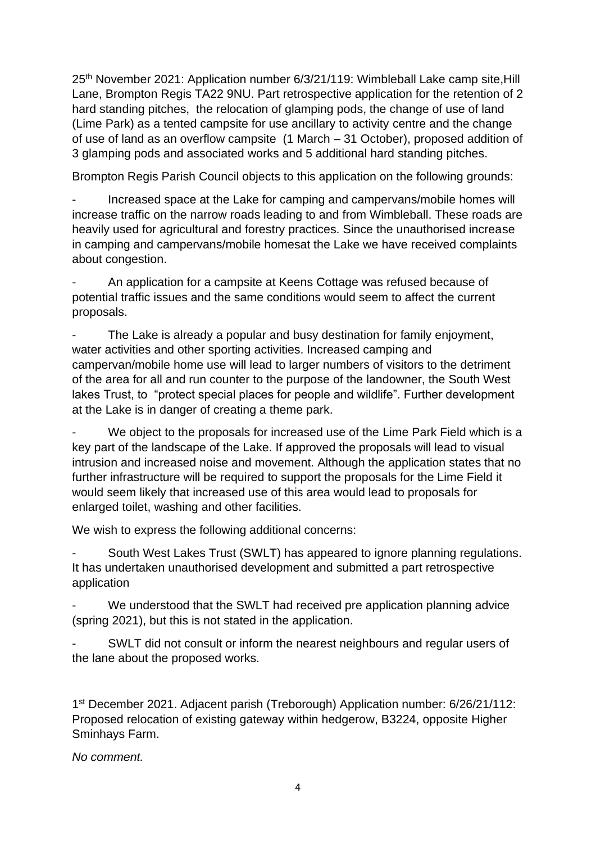25th November 2021: Application number 6/3/21/119: Wimbleball Lake camp site,Hill Lane, Brompton Regis TA22 9NU. Part retrospective application for the retention of 2 hard standing pitches, the relocation of glamping pods, the change of use of land (Lime Park) as a tented campsite for use ancillary to activity centre and the change of use of land as an overflow campsite (1 March – 31 October), proposed addition of 3 glamping pods and associated works and 5 additional hard standing pitches.

Brompton Regis Parish Council objects to this application on the following grounds:

- Increased space at the Lake for camping and campervans/mobile homes will increase traffic on the narrow roads leading to and from Wimbleball. These roads are heavily used for agricultural and forestry practices. Since the unauthorised increase in camping and campervans/mobile homesat the Lake we have received complaints about congestion.

- An application for a campsite at Keens Cottage was refused because of potential traffic issues and the same conditions would seem to affect the current proposals.

The Lake is already a popular and busy destination for family enjoyment, water activities and other sporting activities. Increased camping and campervan/mobile home use will lead to larger numbers of visitors to the detriment of the area for all and run counter to the purpose of the landowner, the South West lakes Trust, to "protect special places for people and wildlife". Further development at the Lake is in danger of creating a theme park.

We object to the proposals for increased use of the Lime Park Field which is a key part of the landscape of the Lake. If approved the proposals will lead to visual intrusion and increased noise and movement. Although the application states that no further infrastructure will be required to support the proposals for the Lime Field it would seem likely that increased use of this area would lead to proposals for enlarged toilet, washing and other facilities.

We wish to express the following additional concerns:

- South West Lakes Trust (SWLT) has appeared to ignore planning regulations. It has undertaken unauthorised development and submitted a part retrospective application

We understood that the SWLT had received pre application planning advice (spring 2021), but this is not stated in the application.

SWLT did not consult or inform the nearest neighbours and regular users of the lane about the proposed works.

1 st December 2021. Adjacent parish (Treborough) Application number: 6/26/21/112: Proposed relocation of existing gateway within hedgerow, B3224, opposite Higher Sminhays Farm.

*No comment.*